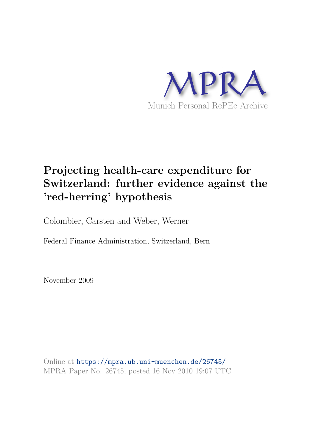

# **Projecting health-care expenditure for Switzerland: further evidence against the 'red-herring' hypothesis**

Colombier, Carsten and Weber, Werner

Federal Finance Administration, Switzerland, Bern

November 2009

Online at https://mpra.ub.uni-muenchen.de/26745/ MPRA Paper No. 26745, posted 16 Nov 2010 19:07 UTC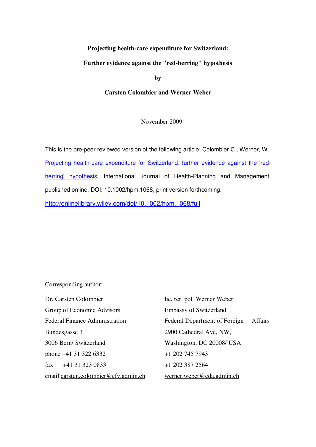## **Projecting health-care expenditure for Switzerland:**

#### **Further evidence against the "red-herring" hypothesis**

**by** 

#### **Carsten Colombier and Werner Weber**

November 2009

This is the pre-peer reviewed version of the following article: Colombier C., Werner, W., Projecting health-care expenditure for Switzerland: further evidence against the 'redherring' hypothesis, International Journal of Health-Planning and Management, published online, DOI: 10.1002/hpm.1068, print version forthcoming.

http://onlinelibrary.wiley.com/doi/10.1002/hpm.1068/full

Corresponding author:

Dr. Carsten Colombier lic. rer. pol. Werner Weber Group of Economic Advisors Embassy of Switzerland Federal Finance Administration Federal Department of Foreign Affairs Bundesgasse 3 2900 Cathedral Ave, NW, 3006 Bern/ Switzerland Washington, DC 20008/ USA phone +41 31 322 6332 +1 202 745 7943  $\text{fax} \quad +41 \quad 31 \quad 323 \quad 0833 \quad +1 \quad 202 \quad 387 \quad 2564$ email carsten.colombier@efv.admin.ch werner.weber@eda.admin.ch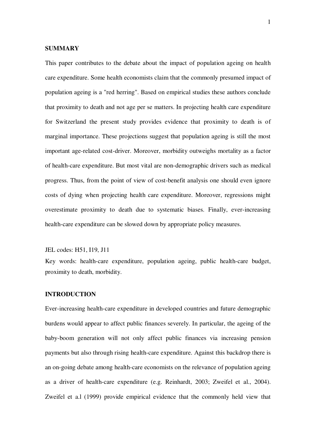#### **SUMMARY**

This paper contributes to the debate about the impact of population ageing on health care expenditure. Some health economists claim that the commonly presumed impact of population ageing is a "red herring". Based on empirical studies these authors conclude that proximity to death and not age per se matters. In projecting health care expenditure for Switzerland the present study provides evidence that proximity to death is of marginal importance. These projections suggest that population ageing is still the most important age-related cost-driver. Moreover, morbidity outweighs mortality as a factor of health-care expenditure. But most vital are non-demographic drivers such as medical progress. Thus, from the point of view of cost-benefit analysis one should even ignore costs of dying when projecting health care expenditure. Moreover, regressions might overestimate proximity to death due to systematic biases. Finally, ever-increasing health-care expenditure can be slowed down by appropriate policy measures.

JEL codes: H51, I19, J11

Key words: health-care expenditure, population ageing, public health-care budget, proximity to death, morbidity.

#### **INTRODUCTION**

Ever-increasing health-care expenditure in developed countries and future demographic burdens would appear to affect public finances severely. In particular, the ageing of the baby-boom generation will not only affect public finances via increasing pension payments but also through rising health-care expenditure. Against this backdrop there is an on-going debate among health-care economists on the relevance of population ageing as a driver of health-care expenditure (e.g. Reinhardt, 2003; Zweifel et al., 2004). Zweifel et a.l (1999) provide empirical evidence that the commonly held view that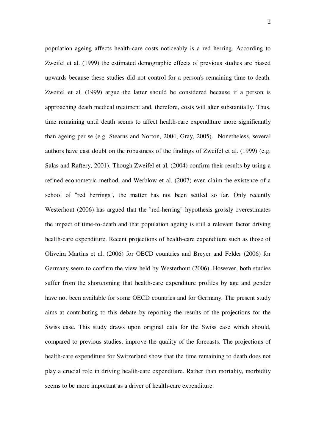population ageing affects health-care costs noticeably is a red herring. According to Zweifel et al. (1999) the estimated demographic effects of previous studies are biased upwards because these studies did not control for a person's remaining time to death. Zweifel et al. (1999) argue the latter should be considered because if a person is approaching death medical treatment and, therefore, costs will alter substantially. Thus, time remaining until death seems to affect health-care expenditure more significantly than ageing per se (e.g. Stearns and Norton, 2004; Gray, 2005). Nonetheless, several authors have cast doubt on the robustness of the findings of Zweifel et al. (1999) (e.g. Salas and Raftery, 2001). Though Zweifel et al. (2004) confirm their results by using a refined econometric method, and Werblow et al. (2007) even claim the existence of a school of "red herrings", the matter has not been settled so far. Only recently Westerhout (2006) has argued that the "red-herring" hypothesis grossly overestimates the impact of time-to-death and that population ageing is still a relevant factor driving health-care expenditure. Recent projections of health-care expenditure such as those of Oliveira Martins et al. (2006) for OECD countries and Breyer and Felder (2006) for Germany seem to confirm the view held by Westerhout (2006). However, both studies suffer from the shortcoming that health-care expenditure profiles by age and gender have not been available for some OECD countries and for Germany. The present study aims at contributing to this debate by reporting the results of the projections for the Swiss case. This study draws upon original data for the Swiss case which should, compared to previous studies, improve the quality of the forecasts. The projections of health-care expenditure for Switzerland show that the time remaining to death does not play a crucial role in driving health-care expenditure. Rather than mortality, morbidity seems to be more important as a driver of health-care expenditure.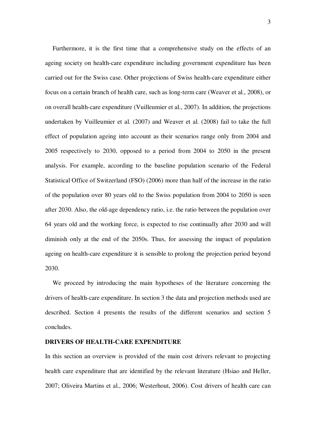Furthermore, it is the first time that a comprehensive study on the effects of an ageing society on health-care expenditure including government expenditure has been carried out for the Swiss case. Other projections of Swiss health-care expenditure either focus on a certain branch of health care, such as long-term care (Weaver et al., 2008), or on overall health-care expenditure (Vuilleumier et al., 2007). In addition, the projections undertaken by Vuilleumier et al. (2007) and Weaver et al. (2008) fail to take the full effect of population ageing into account as their scenarios range only from 2004 and 2005 respectively to 2030, opposed to a period from 2004 to 2050 in the present analysis. For example, according to the baseline population scenario of the Federal Statistical Office of Switzerland (FSO) (2006) more than half of the increase in the ratio of the population over 80 years old to the Swiss population from 2004 to 2050 is seen after 2030. Also, the old-age dependency ratio, i.e. the ratio between the population over 64 years old and the working force, is expected to rise continually after 2030 and will diminish only at the end of the 2050s. Thus, for assessing the impact of population ageing on health-care expenditure it is sensible to prolong the projection period beyond 2030.

We proceed by introducing the main hypotheses of the literature concerning the drivers of health-care expenditure. In section 3 the data and projection methods used are described. Section 4 presents the results of the different scenarios and section 5 concludes.

## **DRIVERS OF HEALTH-CARE EXPENDITURE**

In this section an overview is provided of the main cost drivers relevant to projecting health care expenditure that are identified by the relevant literature (Hsiao and Heller, 2007; Oliveira Martins et al., 2006; Westerhout, 2006). Cost drivers of health care can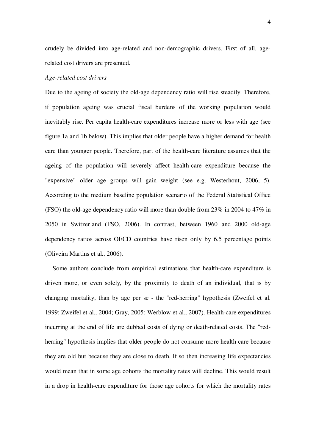crudely be divided into age-related and non-demographic drivers. First of all, agerelated cost drivers are presented.

#### *Age-related cost drivers*

Due to the ageing of society the old-age dependency ratio will rise steadily. Therefore, if population ageing was crucial fiscal burdens of the working population would inevitably rise. Per capita health-care expenditures increase more or less with age (see figure 1a and 1b below). This implies that older people have a higher demand for health care than younger people. Therefore, part of the health-care literature assumes that the ageing of the population will severely affect health-care expenditure because the "expensive" older age groups will gain weight (see e.g. Westerhout, 2006, 5). According to the medium baseline population scenario of the Federal Statistical Office (FSO) the old-age dependency ratio will more than double from 23% in 2004 to 47% in 2050 in Switzerland (FSO, 2006). In contrast, between 1960 and 2000 old-age dependency ratios across OECD countries have risen only by 6.5 percentage points (Oliveira Martins et al., 2006).

Some authors conclude from empirical estimations that health-care expenditure is driven more, or even solely, by the proximity to death of an individual, that is by changing mortality, than by age per se - the "red-herring" hypothesis (Zweifel et al. 1999; Zweifel et al., 2004; Gray, 2005; Werblow et al., 2007). Health-care expenditures incurring at the end of life are dubbed costs of dying or death-related costs. The "redherring" hypothesis implies that older people do not consume more health care because they are old but because they are close to death. If so then increasing life expectancies would mean that in some age cohorts the mortality rates will decline. This would result in a drop in health-care expenditure for those age cohorts for which the mortality rates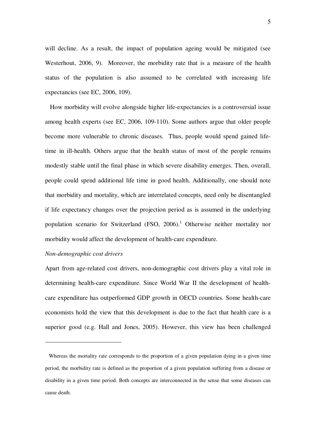will decline. As a result, the impact of population ageing would be mitigated (see Westerhout, 2006, 9). Moreover, the morbidity rate that is a measure of the health status of the population is also assumed to be correlated with increasing life expectancies (see EC, 2006, 109).

How morbidity will evolve alongside higher life-expectancies is a controversial issue among health experts (see EC, 2006, 109-110). Some authors argue that older people become more vulnerable to chronic diseases. Thus, people would spend gained lifetime in ill-health. Others argue that the health status of most of the people remains modestly stable until the final phase in which severe disability emerges. Then, overall, people could spend additional life time in good health. Additionally, one should note that morbidity and mortality, which are interrelated concepts, need only be disentangled if life expectancy changes over the projection period as is assumed in the underlying population scenario for Switzerland  $(FSO, 2006)$ .<sup>1</sup> Otherwise neither mortality nor morbidity would affect the development of health-care expenditure.

#### *Non-demographic cost drivers*

 $\overline{a}$ 

Apart from age-related cost drivers, non-demographic cost drivers play a vital role in determining health-care expenditure. Since World War II the development of healthcare expenditure has outperformed GDP growth in OECD countries. Some health-care economists hold the view that this development is due to the fact that health care is a superior good (e.g. Hall and Jones, 2005). However, this view has been challenged

Whereas the mortality rate corresponds to the proportion of a given population dying in a given time period, the morbidity rate is defined as the proportion of a given population suffering from a disease or disability in a given time period. Both concepts are interconnected in the sense that some diseases can cause death.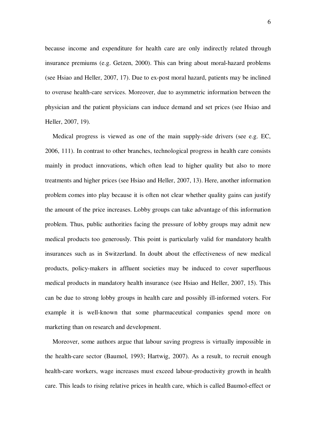because income and expenditure for health care are only indirectly related through insurance premiums (e.g. Getzen, 2000). This can bring about moral-hazard problems (see Hsiao and Heller, 2007, 17). Due to ex-post moral hazard, patients may be inclined to overuse health-care services. Moreover, due to asymmetric information between the physician and the patient physicians can induce demand and set prices (see Hsiao and Heller, 2007, 19).

Medical progress is viewed as one of the main supply-side drivers (see e.g. EC, 2006, 111). In contrast to other branches, technological progress in health care consists mainly in product innovations, which often lead to higher quality but also to more treatments and higher prices (see Hsiao and Heller, 2007, 13). Here, another information problem comes into play because it is often not clear whether quality gains can justify the amount of the price increases. Lobby groups can take advantage of this information problem. Thus, public authorities facing the pressure of lobby groups may admit new medical products too generously. This point is particularly valid for mandatory health insurances such as in Switzerland. In doubt about the effectiveness of new medical products, policy-makers in affluent societies may be induced to cover superfluous medical products in mandatory health insurance (see Hsiao and Heller, 2007, 15). This can be due to strong lobby groups in health care and possibly ill-informed voters. For example it is well-known that some pharmaceutical companies spend more on marketing than on research and development.

Moreover, some authors argue that labour saving progress is virtually impossible in the health-care sector (Baumol, 1993; Hartwig, 2007). As a result, to recruit enough health-care workers, wage increases must exceed labour-productivity growth in health care. This leads to rising relative prices in health care, which is called Baumol-effect or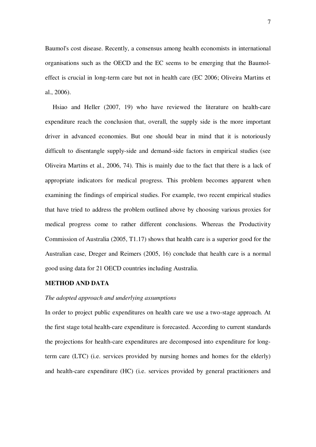Baumol's cost disease. Recently, a consensus among health economists in international organisations such as the OECD and the EC seems to be emerging that the Baumoleffect is crucial in long-term care but not in health care (EC 2006; Oliveira Martins et al., 2006).

Hsiao and Heller (2007, 19) who have reviewed the literature on health-care expenditure reach the conclusion that, overall, the supply side is the more important driver in advanced economies. But one should bear in mind that it is notoriously difficult to disentangle supply-side and demand-side factors in empirical studies (see Oliveira Martins et al., 2006, 74). This is mainly due to the fact that there is a lack of appropriate indicators for medical progress. This problem becomes apparent when examining the findings of empirical studies. For example, two recent empirical studies that have tried to address the problem outlined above by choosing various proxies for medical progress come to rather different conclusions. Whereas the Productivity Commission of Australia (2005, T1.17) shows that health care is a superior good for the Australian case, Dreger and Reimers (2005, 16) conclude that health care is a normal good using data for 21 OECD countries including Australia.

#### **METHOD AND DATA**

#### *The adopted approach and underlying assumptions*

In order to project public expenditures on health care we use a two-stage approach. At the first stage total health-care expenditure is forecasted. According to current standards the projections for health-care expenditures are decomposed into expenditure for longterm care (LTC) (i.e. services provided by nursing homes and homes for the elderly) and health-care expenditure (HC) (i.e. services provided by general practitioners and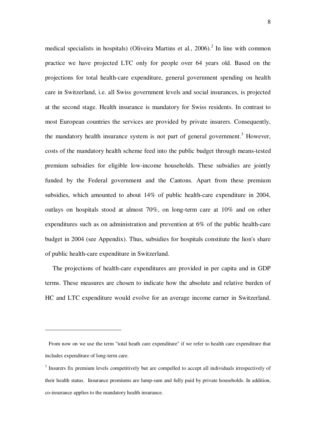medical specialists in hospitals) (Oliveira Martins et al.,  $2006$ ).<sup>2</sup> In line with common practice we have projected LTC only for people over 64 years old. Based on the projections for total health-care expenditure, general government spending on health care in Switzerland, i.e. all Swiss government levels and social insurances, is projected at the second stage. Health insurance is mandatory for Swiss residents. In contrast to most European countries the services are provided by private insurers. Consequently, the mandatory health insurance system is not part of general government.<sup>3</sup> However, costs of the mandatory health scheme feed into the public budget through means-tested premium subsidies for eligible low-income households. These subsidies are jointly funded by the Federal government and the Cantons. Apart from these premium subsidies, which amounted to about 14% of public health-care expenditure in 2004, outlays on hospitals stood at almost 70%, on long-term care at 10% and on other expenditures such as on administration and prevention at 6% of the public health-care budget in 2004 (see Appendix). Thus, subsidies for hospitals constitute the lion's share of public health-care expenditure in Switzerland.

The projections of health-care expenditures are provided in per capita and in GDP terms. These measures are chosen to indicate how the absolute and relative burden of HC and LTC expenditure would evolve for an average income earner in Switzerland.

 $\overline{a}$ 

From now on we use the term "total heath care expenditure" if we refer to health care expenditure that includes expenditure of long-term care.

<sup>&</sup>lt;sup>3</sup> Insurers fix premium levels competitively but are compelled to accept all individuals irrespectively of their health status. Insurance premiums are lump-sum and fully paid by private households. In addition, co-insurance applies to the mandatory health insurance.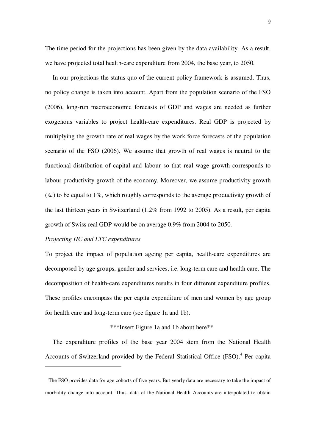The time period for the projections has been given by the data availability. As a result, we have projected total health-care expenditure from 2004, the base year, to 2050.

In our projections the status quo of the current policy framework is assumed. Thus, no policy change is taken into account. Apart from the population scenario of the FSO (2006), long-run macroeconomic forecasts of GDP and wages are needed as further exogenous variables to project health-care expenditures. Real GDP is projected by multiplying the growth rate of real wages by the work force forecasts of the population scenario of the FSO (2006). We assume that growth of real wages is neutral to the functional distribution of capital and labour so that real wage growth corresponds to labour productivity growth of the economy. Moreover, we assume productivity growth  $(\omega)$  to be equal to 1%, which roughly corresponds to the average productivity growth of the last thirteen years in Switzerland (1.2% from 1992 to 2005). As a result, per capita growth of Swiss real GDP would be on average 0.9% from 2004 to 2050.

# *Projecting HC and LTC expenditures*

 $\overline{a}$ 

To project the impact of population ageing per capita, health-care expenditures are decomposed by age groups, gender and services, i.e. long-term care and health care. The decomposition of health-care expenditures results in four different expenditure profiles. These profiles encompass the per capita expenditure of men and women by age group for health care and long-term care (see figure 1a and 1b).

# \*\*\*Insert Figure 1a and 1b about here\*\*

The expenditure profiles of the base year 2004 stem from the National Health Accounts of Switzerland provided by the Federal Statistical Office (FSO).<sup>4</sup> Per capita

The FSO provides data for age cohorts of five years. But yearly data are necessary to take the impact of morbidity change into account. Thus, data of the National Health Accounts are interpolated to obtain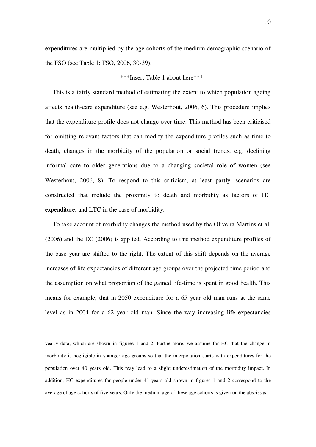expenditures are multiplied by the age cohorts of the medium demographic scenario of the FSO (see Table 1; FSO, 2006, 30-39).

#### \*\*\*Insert Table 1 about here\*\*\*

This is a fairly standard method of estimating the extent to which population ageing affects health-care expenditure (see e.g. Westerhout, 2006, 6). This procedure implies that the expenditure profile does not change over time. This method has been criticised for omitting relevant factors that can modify the expenditure profiles such as time to death, changes in the morbidity of the population or social trends, e.g. declining informal care to older generations due to a changing societal role of women (see Westerhout, 2006, 8). To respond to this criticism, at least partly, scenarios are constructed that include the proximity to death and morbidity as factors of HC expenditure, and LTC in the case of morbidity.

To take account of morbidity changes the method used by the Oliveira Martins et al. (2006) and the EC (2006) is applied. According to this method expenditure profiles of the base year are shifted to the right. The extent of this shift depends on the average increases of life expectancies of different age groups over the projected time period and the assumption on what proportion of the gained life-time is spent in good health. This means for example, that in 2050 expenditure for a 65 year old man runs at the same level as in 2004 for a 62 year old man. Since the way increasing life expectancies

yearly data, which are shown in figures 1 and 2. Furthermore, we assume for HC that the change in morbidity is negligible in younger age groups so that the interpolation starts with expenditures for the population over 40 years old. This may lead to a slight underestimation of the morbidity impact. In addition, HC expenditures for people under 41 years old shown in figures 1 and 2 correspond to the average of age cohorts of five years. Only the medium age of these age cohorts is given on the abscissas.

 $\overline{a}$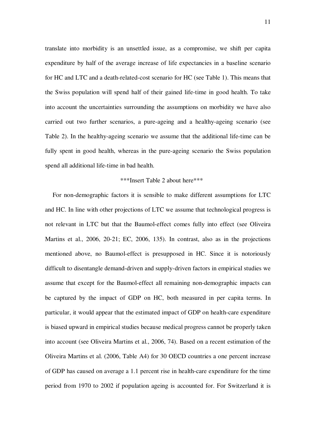translate into morbidity is an unsettled issue, as a compromise, we shift per capita expenditure by half of the average increase of life expectancies in a baseline scenario for HC and LTC and a death-related-cost scenario for HC (see Table 1). This means that the Swiss population will spend half of their gained life-time in good health. To take into account the uncertainties surrounding the assumptions on morbidity we have also carried out two further scenarios, a pure-ageing and a healthy-ageing scenario (see Table 2). In the healthy-ageing scenario we assume that the additional life-time can be fully spent in good health, whereas in the pure-ageing scenario the Swiss population spend all additional life-time in bad health.

#### \*\*\*Insert Table 2 about here\*\*\*

For non-demographic factors it is sensible to make different assumptions for LTC and HC. In line with other projections of LTC we assume that technological progress is not relevant in LTC but that the Baumol-effect comes fully into effect (see Oliveira Martins et al., 2006, 20-21; EC, 2006, 135). In contrast, also as in the projections mentioned above, no Baumol-effect is presupposed in HC. Since it is notoriously difficult to disentangle demand-driven and supply-driven factors in empirical studies we assume that except for the Baumol-effect all remaining non-demographic impacts can be captured by the impact of GDP on HC, both measured in per capita terms. In particular, it would appear that the estimated impact of GDP on health-care expenditure is biased upward in empirical studies because medical progress cannot be properly taken into account (see Oliveira Martins et al., 2006, 74). Based on a recent estimation of the Oliveira Martins et al. (2006, Table A4) for 30 OECD countries a one percent increase of GDP has caused on average a 1.1 percent rise in health-care expenditure for the time period from 1970 to 2002 if population ageing is accounted for. For Switzerland it is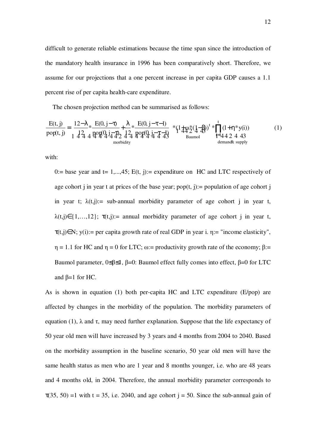difficult to generate reliable estimations because the time span since the introduction of the mandatory health insurance in 1996 has been comparatively short. Therefore, we assume for our projections that a one percent increase in per capita GDP causes a 1.1 percent rise of per capita health-care expenditure.

The chosen projection method can be summarised as follows:

$$
\frac{E(t,j)}{\text{pop}(t,j)} = \left(\frac{12 - \lambda}{124} \times \frac{E(0,j-\tau)}{494} + \frac{\lambda}{47} \times \frac{E(0,j-\tau-1)}{494} \right) \times \left(\frac{1}{47} \times \frac{1}{47} \times \frac{1}{47}\right) \times \left(\frac{1}{47} \times \frac{1}{47}\right) \times \left(\frac{1}{47} \times \frac{1}{47}\right) \times \left(\frac{1}{47} \times \frac{1}{47}\right) \times \left(\frac{1}{47} \times \frac{1}{47}\right) \times \left(\frac{1}{47} \times \frac{1}{47}\right) \times \left(\frac{1}{47} \times \frac{1}{47}\right) \times \left(\frac{1}{47} \times \frac{1}{47}\right) \times \left(\frac{1}{47} \times \frac{1}{47}\right) \times \left(\frac{1}{47} \times \frac{1}{47}\right) \times \left(\frac{1}{47} \times \frac{1}{47}\right) \times \left(\frac{1}{47} \times \frac{1}{47}\right) \times \left(\frac{1}{47} \times \frac{1}{47}\right) \times \left(\frac{1}{47} \times \frac{1}{47}\right) \times \left(\frac{1}{47} \times \frac{1}{47}\right) \times \left(\frac{1}{47} \times \frac{1}{47}\right) \times \left(\frac{1}{47} \times \frac{1}{47}\right) \times \left(\frac{1}{47} \times \frac{1}{47}\right) \times \left(\frac{1}{47} \times \frac{1}{47}\right) \times \left(\frac{1}{47} \times \frac{1}{47}\right) \times \left(\frac{1}{47} \times \frac{1}{47}\right) \times \left(\frac{1}{47} \times \frac{1}{47}\right) \times \left(\frac{1}{47} \times \frac{1}{47}\right) \times \left(\frac{1}{47} \times \frac{1}{47}\right) \times \left(\frac{1}{47} \times \frac{1}{47}\right) \times \left(\frac{1}{47} \times \frac{1}{47}\right) \times \left(\frac{1}{47} \times \frac{1}{47}\right) \times \left(\frac{1}{47} \times \frac{1}{47}\right
$$

with:

0:= base year and t= 1,...,45; E(t, j):= expenditure on HC and LTC respectively of age cohort j in year t at prices of the base year; pop(t, j):= population of age cohort j in year t;  $\lambda(t,j)$ : = sub-annual morbidity parameter of age cohort j in year t,  $\lambda(t, j) \in \{1, \ldots, 12\}$ ;  $\tau(t, j) :=$  annual morbidity parameter of age cohort j in year t,  $\tau(t,j) \in N$ ; y(i):= per capita growth rate of real GDP in year i.  $\eta$ := "income elasticity",  $η = 1.1$  for HC and  $η = 0$  for LTC; ω:= productivity growth rate of the economy; β:= Baumol parameter,  $0 \le \beta \le 1$ ,  $\beta = 0$ : Baumol effect fully comes into effect,  $\beta = 0$  for LTC and  $β=1$  for HC.

As is shown in equation (1) both per-capita HC and LTC expenditure (E/pop) are affected by changes in the morbidity of the population. The morbidity parameters of equation (1),  $\lambda$  and  $\tau$ , may need further explanation. Suppose that the life expectancy of 50 year old men will have increased by 3 years and 4 months from 2004 to 2040. Based on the morbidity assumption in the baseline scenario, 50 year old men will have the same health status as men who are 1 year and 8 months younger, i.e. who are 48 years and 4 months old, in 2004. Therefore, the annual morbidity parameter corresponds to  $\tau(35, 50) = 1$  with t = 35, i.e. 2040, and age cohort j = 50. Since the sub-annual gain of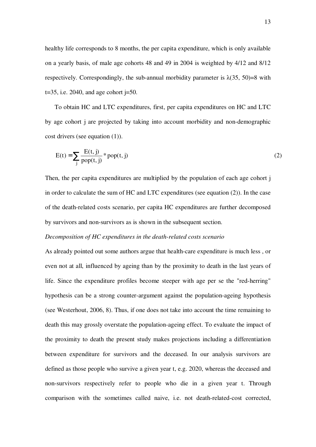healthy life corresponds to 8 months, the per capita expenditure, which is only available on a yearly basis, of male age cohorts 48 and 49 in 2004 is weighted by 4/12 and 8/12 respectively. Correspondingly, the sub-annual morbidity parameter is  $\lambda$ (35, 50)=8 with  $t=35$ , i.e. 2040, and age cohort  $j=50$ .

To obtain HC and LTC expenditures, first, per capita expenditures on HC and LTC by age cohort j are projected by taking into account morbidity and non-demographic cost drivers (see equation (1)).

$$
E(t) = \sum_{j} \frac{E(t, j)}{pop(t, j)} * pop(t, j)
$$
 (2)

Then, the per capita expenditures are multiplied by the population of each age cohort j in order to calculate the sum of HC and LTC expenditures (see equation (2)). In the case of the death-related costs scenario, per capita HC expenditures are further decomposed by survivors and non-survivors as is shown in the subsequent section.

#### *Decomposition of HC expenditures in the death-related costs scenario*

As already pointed out some authors argue that health-care expenditure is much less , or even not at all, influenced by ageing than by the proximity to death in the last years of life. Since the expenditure profiles become steeper with age per se the "red-herring" hypothesis can be a strong counter-argument against the population-ageing hypothesis (see Westerhout, 2006, 8). Thus, if one does not take into account the time remaining to death this may grossly overstate the population-ageing effect. To evaluate the impact of the proximity to death the present study makes projections including a differentiation between expenditure for survivors and the deceased. In our analysis survivors are defined as those people who survive a given year t, e.g. 2020, whereas the deceased and non-survivors respectively refer to people who die in a given year t. Through comparison with the sometimes called naive, i.e. not death-related-cost corrected,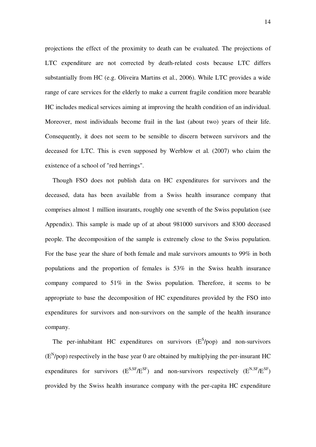projections the effect of the proximity to death can be evaluated. The projections of LTC expenditure are not corrected by death-related costs because LTC differs substantially from HC (e.g. Oliveira Martins et al., 2006). While LTC provides a wide range of care services for the elderly to make a current fragile condition more bearable HC includes medical services aiming at improving the health condition of an individual. Moreover, most individuals become frail in the last (about two) years of their life. Consequently, it does not seem to be sensible to discern between survivors and the deceased for LTC. This is even supposed by Werblow et al. (2007) who claim the existence of a school of "red herrings".

Though FSO does not publish data on HC expenditures for survivors and the deceased, data has been available from a Swiss health insurance company that comprises almost 1 million insurants, roughly one seventh of the Swiss population (see Appendix). This sample is made up of at about 981000 survivors and 8300 deceased people. The decomposition of the sample is extremely close to the Swiss population. For the base year the share of both female and male survivors amounts to 99% in both populations and the proportion of females is 53% in the Swiss health insurance company compared to 51% in the Swiss population. Therefore, it seems to be appropriate to base the decomposition of HC expenditures provided by the FSO into expenditures for survivors and non-survivors on the sample of the health insurance company.

The per-inhabitant HC expenditures on survivors  $(E^S / pop)$  and non-survivors  $(E<sup>N</sup>/pop)$  respectively in the base year 0 are obtained by multiplying the per-insurant HC expenditures for survivors  $(E^{S,SF}/E^{SF})$  and non-survivors respectively  $(E^{N,SF}/E^{SF})$ provided by the Swiss health insurance company with the per-capita HC expenditure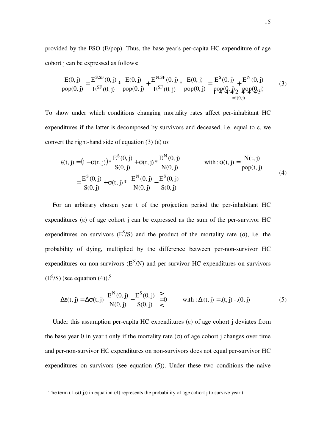provided by the FSO (E/pop). Thus, the base year's per-capita HC expenditure of age cohort j can be expressed as follows:

$$
\frac{E(0, j)}{pop(0, j)} = \frac{E^{S, SF}(0, j)}{E^{SF}(0, j)} * \frac{E(0, j)}{pop(0, j)} + \frac{E^{N, SF}(0, j)}{E^{SF}(0, j)} * \frac{E(0, j)}{pop(0, j)} = \frac{E^{S}(0, j)}{pop(Q, j)} + \frac{E^{N}(0, j)}{pop(Q, j)}
$$
(3)

To show under which conditions changing mortality rates affect per-inhabitant HC expenditures if the latter is decomposed by survivors and deceased, i.e. equal to ε, we convert the right-hand side of equation (3) (ε) to:

$$
\varepsilon(t, j) = (1 - \sigma(t, j)) * \frac{E^{S}(0, j)}{S(0, j)} + \sigma(t, j) * \frac{E^{N}(0, j)}{N(0, j)}
$$
 with:  $\sigma(t, j) = \frac{N(t, j)}{pop(t, j)}$   
=  $\frac{E^{S}(0, j)}{S(0, j)} + \sigma(t, j) * \left(\frac{E^{N}(0, j)}{N(0, j)} - \frac{E^{S}(0, j)}{S(0, j)}\right)$  (4)

For an arbitrary chosen year t of the projection period the per-inhabitant HC expenditures (ε) of age cohort j can be expressed as the sum of the per-survivor HC expenditures on survivors ( $E^{S}/S$ ) and the product of the mortality rate ( $\sigma$ ), i.e. the probability of dying, multiplied by the difference between per-non-survivor HC expenditures on non-survivors  $(E^N/N)$  and per-survivor HC expenditures on survivors  $(E<sup>S</sup>/S)$  (see equation (4)).<sup>5</sup>

$$
\Delta \varepsilon(t, j) = \Delta \sigma(t, j) \left( \frac{E^{N}(0, j)}{N(0, j)} - \frac{E^{S}(0, j)}{S(0, j)} \right) = 0 \quad \text{with} \quad \Delta(t, j) = (t, j) - (0, j) \tag{5}
$$

Under this assumption per-capita HC expenditures  $(\varepsilon)$  of age cohort j deviates from the base year 0 in year t only if the mortality rate ( $\sigma$ ) of age cohort j changes over time and per-non-survivor HC expenditures on non-survivors does not equal per-survivor HC expenditures on survivors (see equation (5)). Under these two conditions the naive

 $\overline{a}$ 

The term  $(1-\sigma(t,i))$  in equation (4) represents the probability of age cohort j to survive year t.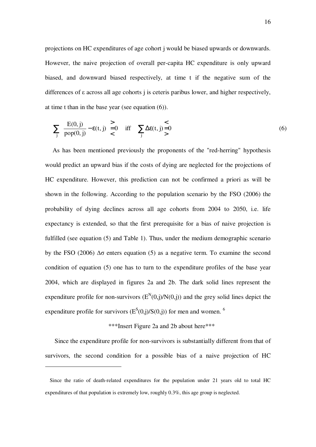projections on HC expenditures of age cohort j would be biased upwards or downwards. However, the naive projection of overall per-capita HC expenditure is only upward biased, and downward biased respectively, at time t if the negative sum of the differences of ε across all age cohorts j is ceteris paribus lower, and higher respectively, at time t than in the base year (see equation (6)).

$$
\sum_{j} \left( \frac{E(0, j)}{pop(0, j)} - \varepsilon(t, j) \right) \ge 0 \quad \text{iff} \quad \sum_{j} \Delta \varepsilon(t, j) = 0 \tag{6}
$$

As has been mentioned previously the proponents of the "red-herring" hypothesis would predict an upward bias if the costs of dying are neglected for the projections of HC expenditure. However, this prediction can not be confirmed a priori as will be shown in the following. According to the population scenario by the FSO (2006) the probability of dying declines across all age cohorts from 2004 to 2050, i.e. life expectancy is extended, so that the first prerequisite for a bias of naive projection is fulfilled (see equation (5) and Table 1). Thus, under the medium demographic scenario by the FSO (2006) ∆σ enters equation (5) as a negative term. To examine the second condition of equation (5) one has to turn to the expenditure profiles of the base year 2004, which are displayed in figures 2a and 2b. The dark solid lines represent the expenditure profile for non-survivors  $(E^N(0,j)/N(0,j))$  and the grey solid lines depict the expenditure profile for survivors ( $E^{S}(0, j)/S(0, j)$ ) for men and women. <sup>6</sup>

\*\*\*Insert Figure 2a and 2b about here\*\*\*

Since the expenditure profile for non-survivors is substantially different from that of survivors, the second condition for a possible bias of a naive projection of HC

 $\overline{a}$ 

Since the ratio of death-related expenditures for the population under 21 years old to total HC expenditures of that population is extremely low, roughly 0.3%, this age group is neglected.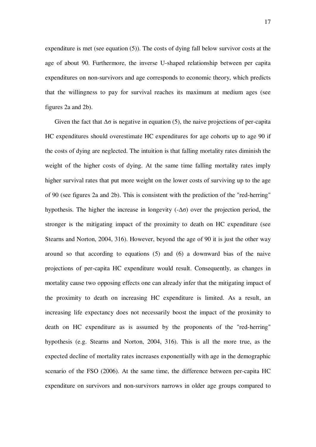expenditure is met (see equation (5)). The costs of dying fall below survivor costs at the age of about 90. Furthermore, the inverse U-shaped relationship between per capita expenditures on non-survivors and age corresponds to economic theory, which predicts that the willingness to pay for survival reaches its maximum at medium ages (see figures 2a and 2b).

Given the fact that  $\Delta \sigma$  is negative in equation (5), the naive projections of per-capita HC expenditures should overestimate HC expenditures for age cohorts up to age 90 if the costs of dying are neglected. The intuition is that falling mortality rates diminish the weight of the higher costs of dying. At the same time falling mortality rates imply higher survival rates that put more weight on the lower costs of surviving up to the age of 90 (see figures 2a and 2b). This is consistent with the prediction of the "red-herring" hypothesis. The higher the increase in longevity  $(-\Delta \sigma)$  over the projection period, the stronger is the mitigating impact of the proximity to death on HC expenditure (see Stearns and Norton, 2004, 316). However, beyond the age of 90 it is just the other way around so that according to equations (5) and (6) a downward bias of the naive projections of per-capita HC expenditure would result. Consequently, as changes in mortality cause two opposing effects one can already infer that the mitigating impact of the proximity to death on increasing HC expenditure is limited. As a result, an increasing life expectancy does not necessarily boost the impact of the proximity to death on HC expenditure as is assumed by the proponents of the "red-herring" hypothesis (e.g. Stearns and Norton, 2004, 316). This is all the more true, as the expected decline of mortality rates increases exponentially with age in the demographic scenario of the FSO (2006). At the same time, the difference between per-capita HC expenditure on survivors and non-survivors narrows in older age groups compared to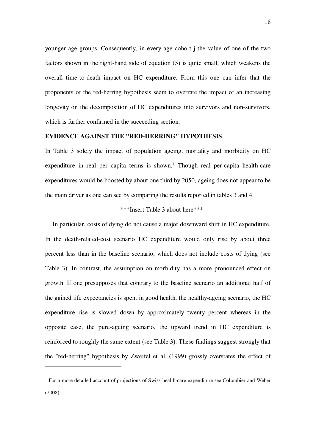younger age groups. Consequently, in every age cohort j the value of one of the two factors shown in the right-hand side of equation (5) is quite small, which weakens the overall time-to-death impact on HC expenditure. From this one can infer that the proponents of the red-herring hypothesis seem to overrate the impact of an increasing longevity on the decomposition of HC expenditures into survivors and non-survivors, which is further confirmed in the succeeding section.

#### **EVIDENCE AGAINST THE "RED-HERRING" HYPOTHESIS**

In Table 3 solely the impact of population ageing, mortality and morbidity on HC expenditure in real per capita terms is shown.<sup>7</sup> Though real per-capita health-care expenditures would be boosted by about one third by 2050, ageing does not appear to be the main driver as one can see by comparing the results reported in tables 3 and 4.

# \*\*\*Insert Table 3 about here\*\*\*

In particular, costs of dying do not cause a major downward shift in HC expenditure. In the death-related-cost scenario HC expenditure would only rise by about three percent less than in the baseline scenario, which does not include costs of dying (see Table 3). In contrast, the assumption on morbidity has a more pronounced effect on growth. If one presupposes that contrary to the baseline scenario an additional half of the gained life expectancies is spent in good health, the healthy-ageing scenario, the HC expenditure rise is slowed down by approximately twenty percent whereas in the opposite case, the pure-ageing scenario, the upward trend in HC expenditure is reinforced to roughly the same extent (see Table 3). These findings suggest strongly that the "red-herring" hypothesis by Zweifel et al. (1999) grossly overstates the effect of

 $\overline{a}$ 

For a more detailed account of projections of Swiss health-care expenditure see Colombier and Weber (2008).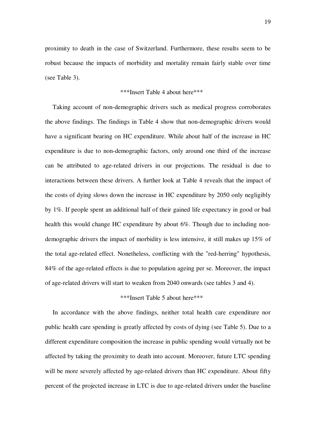proximity to death in the case of Switzerland. Furthermore, these results seem to be robust because the impacts of morbidity and mortality remain fairly stable over time (see Table 3).

#### \*\*\*Insert Table 4 about here\*\*\*

Taking account of non-demographic drivers such as medical progress corroborates the above findings. The findings in Table 4 show that non-demographic drivers would have a significant bearing on HC expenditure. While about half of the increase in HC expenditure is due to non-demographic factors, only around one third of the increase can be attributed to age-related drivers in our projections. The residual is due to interactions between these drivers. A further look at Table 4 reveals that the impact of the costs of dying slows down the increase in HC expenditure by 2050 only negligibly by 1%. If people spent an additional half of their gained life expectancy in good or bad health this would change HC expenditure by about 6%. Though due to including nondemographic drivers the impact of morbidity is less intensive, it still makes up 15% of the total age-related effect. Nonetheless, conflicting with the "red-herring" hypothesis, 84% of the age-related effects is due to population ageing per se. Moreover, the impact of age-related drivers will start to weaken from 2040 onwards (see tables 3 and 4).

# \*\*\*Insert Table 5 about here\*\*\*

In accordance with the above findings, neither total health care expenditure nor public health care spending is greatly affected by costs of dying (see Table 5). Due to a different expenditure composition the increase in public spending would virtually not be affected by taking the proximity to death into account. Moreover, future LTC spending will be more severely affected by age-related drivers than HC expenditure. About fifty percent of the projected increase in LTC is due to age-related drivers under the baseline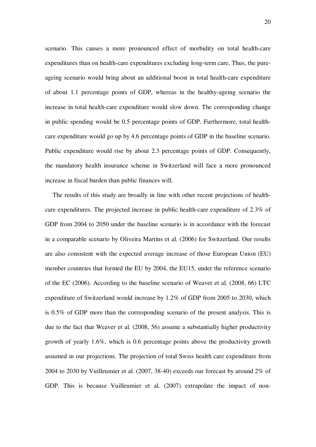scenario. This causes a more pronounced effect of morbidity on total health-care expenditures than on health-care expenditures excluding long-term care. Thus, the pureageing scenario would bring about an additional boost in total health-care expenditure of about 1.1 percentage points of GDP, whereas in the healthy-ageing scenario the increase in total health-care expenditure would slow down. The corresponding change in public spending would be 0.5 percentage points of GDP. Furthermore, total healthcare expenditure would go up by 4.6 percentage points of GDP in the baseline scenario. Public expenditure would rise by about 2.3 percentage points of GDP. Consequently, the mandatory health insurance scheme in Switzerland will face a more pronounced increase in fiscal burden than public finances will.

The results of this study are broadly in line with other recent projections of healthcare expenditures. The projected increase in public health-care expenditure of 2.3% of GDP from 2004 to 2050 under the baseline scenario is in accordance with the forecast in a comparable scenario by Oliveira Martins et al. (2006) for Switzerland. Our results are also consistent with the expected average increase of those European Union (EU) member countries that formed the EU by 2004, the EU15, under the reference scenario of the EC (2006). According to the baseline scenario of Weaver et al. (2008, 66) LTC expenditure of Switzerland would increase by 1.2% of GDP from 2005 to 2030, which is 0.5% of GDP more than the corresponding scenario of the present analysis. This is due to the fact that Weaver et al. (2008, 56) assume a substantially higher productivity growth of yearly 1.6%, which is 0.6 percentage points above the productivity growth assumed in our projections. The projection of total Swiss health care expenditure from 2004 to 2030 by Vuilleumier et al. (2007, 38-40) exceeds our forecast by around 2% of GDP. This is because Vuilleumier et al. (2007) extrapolate the impact of non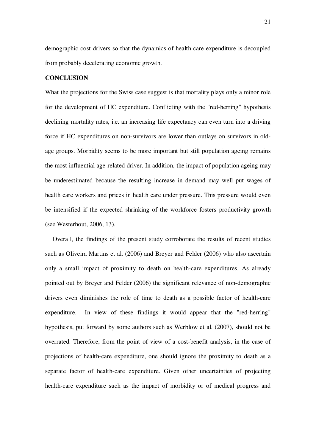demographic cost drivers so that the dynamics of health care expenditure is decoupled from probably decelerating economic growth.

# **CONCLUSION**

What the projections for the Swiss case suggest is that mortality plays only a minor role for the development of HC expenditure. Conflicting with the "red-herring" hypothesis declining mortality rates, i.e. an increasing life expectancy can even turn into a driving force if HC expenditures on non-survivors are lower than outlays on survivors in oldage groups. Morbidity seems to be more important but still population ageing remains the most influential age-related driver. In addition, the impact of population ageing may be underestimated because the resulting increase in demand may well put wages of health care workers and prices in health care under pressure. This pressure would even be intensified if the expected shrinking of the workforce fosters productivity growth (see Westerhout, 2006, 13).

Overall, the findings of the present study corroborate the results of recent studies such as Oliveira Martins et al. (2006) and Breyer and Felder (2006) who also ascertain only a small impact of proximity to death on health-care expenditures. As already pointed out by Breyer and Felder (2006) the significant relevance of non-demographic drivers even diminishes the role of time to death as a possible factor of health-care expenditure. In view of these findings it would appear that the "red-herring" hypothesis, put forward by some authors such as Werblow et al. (2007), should not be overrated. Therefore, from the point of view of a cost-benefit analysis, in the case of projections of health-care expenditure, one should ignore the proximity to death as a separate factor of health-care expenditure. Given other uncertainties of projecting health-care expenditure such as the impact of morbidity or of medical progress and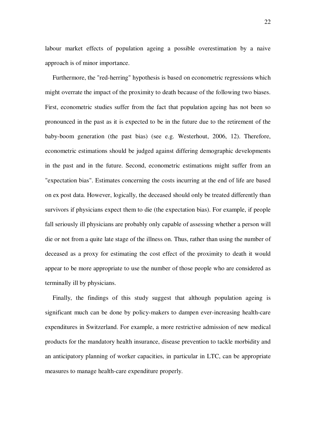labour market effects of population ageing a possible overestimation by a naive approach is of minor importance.

Furthermore, the "red-herring" hypothesis is based on econometric regressions which might overrate the impact of the proximity to death because of the following two biases. First, econometric studies suffer from the fact that population ageing has not been so pronounced in the past as it is expected to be in the future due to the retirement of the baby-boom generation (the past bias) (see e.g. Westerhout, 2006, 12). Therefore, econometric estimations should be judged against differing demographic developments in the past and in the future. Second, econometric estimations might suffer from an "expectation bias". Estimates concerning the costs incurring at the end of life are based on ex post data. However, logically, the deceased should only be treated differently than survivors if physicians expect them to die (the expectation bias). For example, if people fall seriously ill physicians are probably only capable of assessing whether a person will die or not from a quite late stage of the illness on. Thus, rather than using the number of deceased as a proxy for estimating the cost effect of the proximity to death it would appear to be more appropriate to use the number of those people who are considered as terminally ill by physicians.

Finally, the findings of this study suggest that although population ageing is significant much can be done by policy-makers to dampen ever-increasing health-care expenditures in Switzerland. For example, a more restrictive admission of new medical products for the mandatory health insurance, disease prevention to tackle morbidity and an anticipatory planning of worker capacities, in particular in LTC, can be appropriate measures to manage health-care expenditure properly.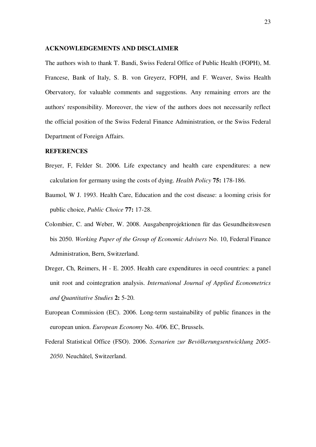#### **ACKNOWLEDGEMENTS AND DISCLAIMER**

The authors wish to thank T. Bandi, Swiss Federal Office of Public Health (FOPH), M. Francese, Bank of Italy, S. B. von Greyerz, FOPH, and F. Weaver, Swiss Health Obervatory, for valuable comments and suggestions. Any remaining errors are the authors' responsibility. Moreover, the view of the authors does not necessarily reflect the official position of the Swiss Federal Finance Administration, or the Swiss Federal Department of Foreign Affairs.

#### **REFERENCES**

- Breyer, F, Felder St. 2006. Life expectancy and health care expenditures: a new calculation for germany using the costs of dying. *Health Policy* **75:** 178-186.
- Baumol, W J. 1993. Health Care, Education and the cost disease: a looming crisis for public choice, *Public Choice* **77:** 17-28.
- Colombier, C. and Weber, W. 2008. Ausgabenprojektionen für das Gesundheitswesen bis 2050. *Working Paper of the Group of Economic Advisers* No. 10, Federal Finance Administration, Bern, Switzerland.
- Dreger, Ch, Reimers, H E. 2005. Health care expenditures in oecd countries: a panel unit root and cointegration analysis. *International Journal of Applied Econometrics and Quantitative Studies* **2:** 5-20.
- European Commission (EC). 2006. Long-term sustainability of public finances in the european union. *European Economy* No. 4/06. EC, Brussels.
- Federal Statistical Office (FSO). 2006. *Szenarien zur Bevölkerungsentwicklung 2005- 2050*. Neuchâtel, Switzerland.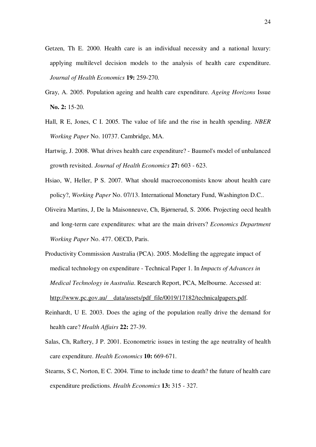- Getzen, Th E. 2000. Health care is an individual necessity and a national luxury: applying multilevel decision models to the analysis of health care expenditure. *Journal of Health Economics* **19:** 259-270.
- Gray, A. 2005. Population ageing and health care expenditure. *Ageing Horizons* Issue **No. 2:** 15-20.
- Hall, R E, Jones, C I. 2005. The value of life and the rise in health spending. *NBER Working Paper* No. 10737. Cambridge, MA.
- Hartwig, J. 2008. What drives health care expenditure? Baumol's model of unbalanced growth revisited. *Journal of Health Economics* **27:** 603 - 623.
- Hsiao, W, Heller, P S. 2007. What should macroeconomists know about health care policy?, *Working Paper* No. 07/13. International Monetary Fund, Washington D.C..
- Oliveira Martins, J, De la Maisonneuve, Ch, Bjørnerud, S. 2006. Projecting oecd health and long-term care expenditures: what are the main drivers? *Economics Department Working Paper* No. 477. OECD, Paris.
- Productivity Commission Australia (PCA). 2005. Modelling the aggregate impact of medical technology on expenditure - Technical Paper 1. In *Impacts of Advances in Medical Technology in Australia*. Research Report, PCA, Melbourne. Accessed at: http://www.pc.gov.au/\_data/assets/pdf\_file/0019/17182/technicalpapers.pdf.
- Reinhardt, U E. 2003. Does the aging of the population really drive the demand for health care? *Health Affairs* **22:** 27-39.
- Salas, Ch, Raftery, J P. 2001. Econometric issues in testing the age neutrality of health care expenditure. *Health Economics* **10:** 669-671.
- Stearns, S C, Norton, E C. 2004. Time to include time to death? the future of health care expenditure predictions. *Health Economics* **13:** 315 - 327.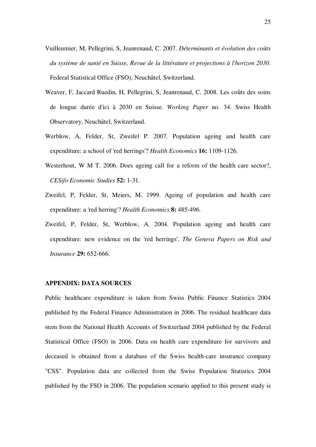- Vuilleumier, M, Pellegrini, S, Jeanrenaud, C. 2007. *Déterminants et évolution des coûts du système de santé en Suisse, Revue de la littérature et projections à l'horizon 2030*. Federal Statistical Office (FSO), Neuchâtel, Switzerland.
- Weaver, F, Jaccard Ruedin, H, Pellegrini, S, Jeanrenaud, C. 2008. Les coûts des soins de longue durée d'ici à 2030 en Suisse. *Working Paper* no. 34. Swiss Health Observatory, Neuchâtel, Switzerland.
- Werblow, A, Felder, St, Zweifel P. 2007. Population ageing and health care expenditure: a school of 'red herrings'? *Health Economics* **16:** 1109-1126.
- Westerhout, W M T. 2006. Does ageing call for a reform of the health care sector?, *CESifo Economic Studies* **52:** 1-31.
- Zweifel, P, Felder, St, Meiers, M. 1999. Ageing of population and health care expenditure: a 'red herring'? *Health Economics* **8:** 485-496.
- Zweifel, P, Felder, St, Werblow, A. 2004. Population ageing and health care expenditure: new evidence on the 'red herrings'. *The Geneva Papers on Risk and Insurance* **29:** 652-666.

#### **APPENDIX: DATA SOURCES**

Public healthcare expenditure is taken from Swiss Public Finance Statistics 2004 published by the Federal Finance Administration in 2006. The residual healthcare data stem from the National Health Accounts of Switzerland 2004 published by the Federal Statistical Office (FSO) in 2006. Data on health care expenditure for survivors and deceased is obtained from a database of the Swiss health-care insurance company "CSS". Population data are collected from the Swiss Population Statistics 2004 published by the FSO in 2006. The population scenario applied to this present study is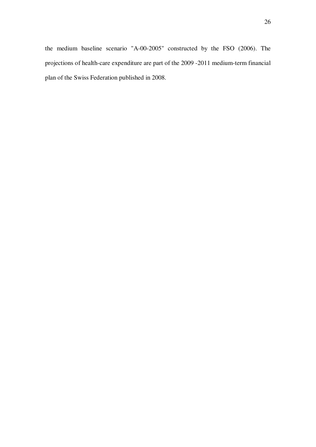the medium baseline scenario "A-00-2005" constructed by the FSO (2006). The projections of health-care expenditure are part of the 2009 -2011 medium-term financial plan of the Swiss Federation published in 2008.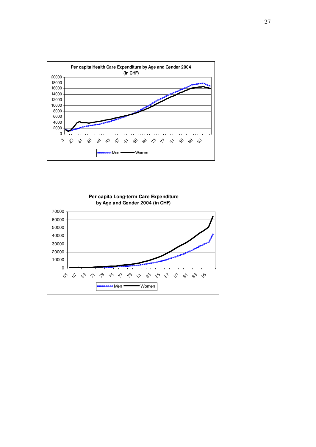

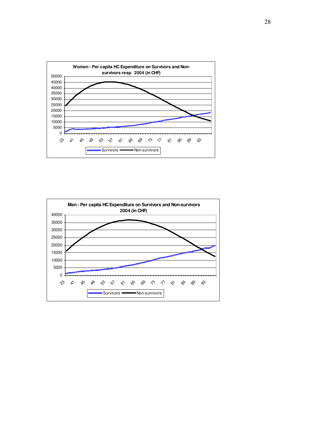

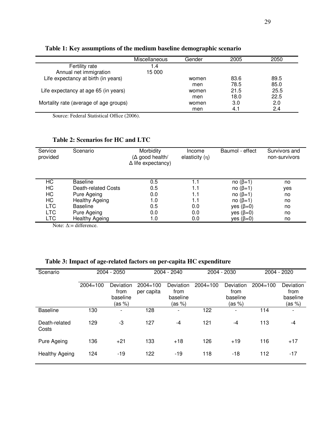|                                        | Miscellaneous | Gender | 2005 | 2050 |
|----------------------------------------|---------------|--------|------|------|
| Fertility rate                         | .4            |        |      |      |
| Annual net immigration                 | 15 000        |        |      |      |
| Life expectancy at birth (in years)    |               | women  | 83.6 | 89.5 |
|                                        |               | men    | 78.5 | 85.0 |
| Life expectancy at age 65 (in years)   |               | women  | 21.5 | 25.5 |
|                                        |               | men    | 18.0 | 22.5 |
| Mortality rate (average of age groups) |               | women  | 3.0  | 2.0  |
|                                        |               | men    | 4.1  | 2.4  |

**Table 1: Key assumptions of the medium baseline demographic scenario** 

Source: Federal Statistical Office (2006).

# **Table 2: Scenarios for HC and LTC**

| Service<br>provided | Scenario            | Morbidity<br>$(\Delta \text{ good health}/$<br>$\Delta$ life expectancy) | Income<br>elasticity $(n)$ | Baumol - effect | Survivors and<br>non-survivors |
|---------------------|---------------------|--------------------------------------------------------------------------|----------------------------|-----------------|--------------------------------|
| HС                  | <b>Baseline</b>     | 0.5                                                                      | 1.1                        | no $(\beta=1)$  | no                             |
| HC                  | Death-related Costs | 0.5                                                                      | 1.1                        | no $(\beta=1)$  | yes                            |
| HC                  | Pure Ageing         | 0.0                                                                      | 1.1                        | no $(\beta=1)$  | no                             |
| HC                  | Healthy Ageing      | 1.0                                                                      | 1.1                        | no $(\beta=1)$  | no                             |
| <b>LTC</b>          | <b>Baseline</b>     | 0.5                                                                      | 0.0                        | yes $(\beta=0)$ | no                             |
| <b>LTC</b>          | Pure Ageing         | 0.0                                                                      | 0.0                        | yes $(\beta=0)$ | no                             |
| <b>LTC</b>          | Healthy Ageing      | 1.0                                                                      | 0.0                        | yes $(\beta=0)$ | no                             |

Note:  $Δ :=$  difference.

# **Table 3: Impact of age-related factors on per-capita HC expenditure**

| Scenario               | 2004 - 2050  |                                         | 2004 - 2040                |                                         | 2004 - 2030  |                                         | 2004 - 2020  |                                         |
|------------------------|--------------|-----------------------------------------|----------------------------|-----------------------------------------|--------------|-----------------------------------------|--------------|-----------------------------------------|
|                        | $2004 = 100$ | Deviation<br>from<br>baseline<br>(as %) | $2004 = 100$<br>per capita | Deviation<br>from<br>baseline<br>(as %) | $2004 = 100$ | Deviation<br>from<br>baseline<br>(as %) | $2004 = 100$ | Deviation<br>from<br>baseline<br>(as %) |
| <b>Baseline</b>        | 130          | $\blacksquare$                          | 128                        | $\overline{\phantom{a}}$                | 122          | $\overline{\phantom{0}}$                | 114          | ۰                                       |
| Death-related<br>Costs | 129          | $-3$                                    | 127                        | $-4$                                    | 121          | $-4$                                    | 113          | $-4$                                    |
| Pure Ageing            | 136          | $+21$                                   | 133                        | $+18$                                   | 126          | $+19$                                   | 116          | $+17$                                   |
| <b>Healthy Ageing</b>  | 124          | -19                                     | 122                        | -19                                     | 118          | -18                                     | 112          | -17                                     |